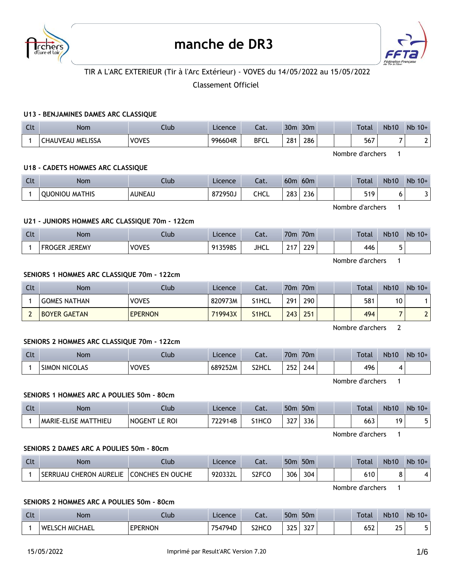

# **manche de DR3**



# TIR A L'ARC EXTERIEUR (Tir à l'Arc Extérieur) - VOVES du 14/05/2022 au 15/05/2022

## Classement Officiel

#### **U13 - BENJAMINES DAMES ARC CLASSIQUE**

| $\sqrt{14}$<br>uu | <b>Nom</b>              | Ilub         | Licence | Cat.        | 30 <sub>m</sub> | 30 <sub>m</sub> |  | Total | <b>Nb10</b> | $Nb$ 10+ |
|-------------------|-------------------------|--------------|---------|-------------|-----------------|-----------------|--|-------|-------------|----------|
|                   | <b>CHAUVEAU MELISSA</b> | <b>VOVES</b> | 996604R | <b>BFCL</b> | 281             | 286             |  | 567   | -           |          |

Nombre d'archers 1

#### **U18 - CADETS HOMMES ARC CLASSIQUE**

| $\sim$<br><b>CLC</b> | Nom                   | Club   | Licence | ۰,۰<br>Jal. | 60 <sub>0</sub> | 60 <sub>m</sub> |  | <b>Total</b> | <b>Nb10</b> | Nb<br>$10+$ |
|----------------------|-----------------------|--------|---------|-------------|-----------------|-----------------|--|--------------|-------------|-------------|
|                      | <b>OUONIOU MATHIS</b> | AUNEAU | 872950J | CHCL        | າ ວ<br>دە∡      | 236             |  | 540<br>JI    |             |             |

#### **U21 - JUNIORS HOMMES ARC CLASSIQUE 70m - 122cm**

| C14<br><b>ULL</b> | Nom           | Club         | Licence | ำ-+<br>cal. | 70 <sub>m</sub>   | 70 <sub>m</sub>     |  | Total | <b>Nb10</b> | $Nb$ 10+ |
|-------------------|---------------|--------------|---------|-------------|-------------------|---------------------|--|-------|-------------|----------|
|                   | <b>IFRFMY</b> | <b>VOVES</b> | 913598S | <b>JHCL</b> | $\sim$ $-$<br>. . | 229<br><u>__ , </u> |  | 446   |             |          |

Nombre d'archers 1

Nombre d'archers 1

#### **SENIORS 1 HOMMES ARC CLASSIQUE 70m - 122cm**

| Clt | Nom                 | Club           | Licence | Cat.  | 70 <sub>m</sub> | 70 <sub>m</sub> |  | Total | <b>Nb10</b> | $Nb$ 10+ |
|-----|---------------------|----------------|---------|-------|-----------------|-----------------|--|-------|-------------|----------|
|     | GOMES NATHAN        | <b>VOVES</b>   | 820973M | S1HCL | 291             | 290             |  | 581   | 10          |          |
|     | <b>BOYER GAETAN</b> | <b>EPERNON</b> | 719943X | S1HCL | 243             | 251             |  | 494   |             | ີ        |

Nombre d'archers 2

#### **SENIORS 2 HOMMES ARC CLASSIQUE 70m - 122cm**

| $\Gamma$<br>uu | <b>Nom</b>                     | .lub         | Licence | $-1$<br>cal. | 70m        | 70 <sub>m</sub> |  | Total | <b>Nb10</b> | Nb<br>$10+$ |
|----------------|--------------------------------|--------------|---------|--------------|------------|-----------------|--|-------|-------------|-------------|
|                | <b>SIMON</b><br><b>NICOLAS</b> | <b>VOVES</b> | 689252M | S2HCL        | วธา<br>ᅩJᄼ | 244             |  | 496   |             |             |

Nombre d'archers 1

#### **SENIORS 1 HOMMES ARC A POULIES 50m - 80cm**

| Clt | <b>Nom</b>                                           | Ilub                 | Licence | $\sim$<br>cal. | 50 <sub>n</sub>       | 50 <sub>m</sub> |  | Total | <b>Nb10</b> | Nb<br>$10+$ |
|-----|------------------------------------------------------|----------------------|---------|----------------|-----------------------|-----------------|--|-------|-------------|-------------|
|     | tthieu<br>_ISE<br><b>MARIE-EI</b><br>MA <sub>1</sub> | <b>ROI</b><br>NOGENT | 722914B | S1HCO          | $\sim$ $\sim$<br>، ۷۷ | 336             |  | 663   | 10          |             |

Nombre d'archers 1

#### **SENIORS 2 DAMES ARC A POULIES 50m - 80cm**

| Clt | Nom                                | Club                    | Licence | Lat.  | 50 <sub>m</sub> | 50 <sub>m</sub> |  | Total | <b>Nb10</b> | $Nb$ 10+ |
|-----|------------------------------------|-------------------------|---------|-------|-----------------|-----------------|--|-------|-------------|----------|
|     | I CHERON AURELIE<br><b>SERRUAU</b> | <b>CONCHES EN OUCHE</b> | 920332L | S2FCO | 306             | 304             |  | 610   |             |          |

Nombre d'archers 1

#### **SENIORS 2 HOMMES ARC A POULIES 50m - 80cm**

| $\sim$<br>นเ | <b>Nom</b>                      | Jlub           | Licence | Lat.  | 50 <sub>m</sub> | 50 <sub>m</sub>       |  | Total | <b>Nb10</b> | $Nb$ 10+ |
|--------------|---------------------------------|----------------|---------|-------|-----------------|-----------------------|--|-------|-------------|----------|
|              | <b>MICHAEL</b><br><b>WELSCH</b> | <b>EPERNON</b> | 754794D | S2HCO | つつに<br>J L J    | $\sim$ $\sim$<br>، ےد |  | 652   | つに<br>ر ے   | ັ່       |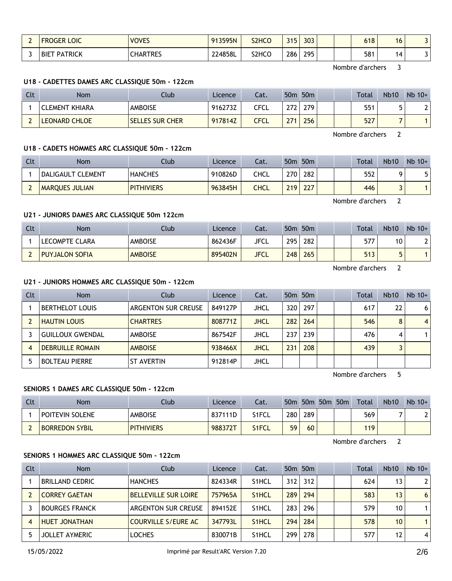| $\overline{\phantom{0}}$<br>- | LOIC<br><b>FROGEN</b>               | <b>VOVES</b>            | 913595N | S <sub>2</sub> HC <sub>O</sub> | 215<br>ັ<br><u>.</u> | 303 |  | 618 | 16  |  |
|-------------------------------|-------------------------------------|-------------------------|---------|--------------------------------|----------------------|-----|--|-----|-----|--|
| -                             | <b>\TRICK</b><br><b>BIET</b><br>PAI | <b>HARTRES</b><br>UHAR' | 224858L | S <sub>2</sub> HC <sub>O</sub> | 286                  | 295 |  | 581 | I4. |  |

Nombre d'archers 3

#### **U18 - CADETTES DAMES ARC CLASSIQUE 50m - 122cm**

| Clt | Nom                   | Club                   | Licence | Cat. | 50m | 50 <sub>m</sub> |  | <b>Total</b> | <b>Nb10</b> | $Nb$ 10+ |
|-----|-----------------------|------------------------|---------|------|-----|-----------------|--|--------------|-------------|----------|
|     | <b>CLEMENT KHIARA</b> | <b>AMBOISE</b>         | 916273Z | CFCL | 272 | 279             |  | 551          |             |          |
|     | LEONARD CHLOE         | <b>SELLES SUR CHER</b> | 917814Z | CFCL | 271 | 256             |  | 527          |             |          |

Nombre d'archers 2

#### **U18 - CADETS HOMMES ARC CLASSIQUE 50m - 122cm**

| Clt      | <b>Nom</b>            | Club              | Licence | Cat. |                  | 50 <sub>m</sub> 50 <sub>m</sub> |  | <b>Total</b> | <b>Nb10</b> | $Nb 10+$ |
|----------|-----------------------|-------------------|---------|------|------------------|---------------------------------|--|--------------|-------------|----------|
|          | DALIGAULT CLEMENT     | <b>HANCHES</b>    | 910826D | CHCL | 270 <sub>1</sub> | 282                             |  | 552          |             |          |
| <b>1</b> | <b>MARQUES JULIAN</b> | <b>PITHIVIERS</b> | 963845H | CHCL | 719 <sub>1</sub> | 227                             |  | 446          |             |          |

Nombre d'archers 2

#### **U21 - JUNIORS DAMES ARC CLASSIQUE 50m 122cm**

| Clt | Nom                   | Club           | Licence | Cat.        | 50 <sub>m</sub> | 50 <sub>m</sub> |  | <b>Total</b> | <b>Nb10</b> | $Nb$ 10+ |
|-----|-----------------------|----------------|---------|-------------|-----------------|-----------------|--|--------------|-------------|----------|
|     | LECOMPTE CLARA        | <b>AMBOISE</b> | 862436F | JFCL        | 295             | 282             |  | 577          | 10          |          |
|     | <b>PUYJALON SOFIA</b> | <b>AMBOISE</b> | 895402N | <b>JFCL</b> | 248             | 265             |  | 513          |             |          |

Nombre d'archers 2

## **U21 - JUNIORS HOMMES ARC CLASSIQUE 50m - 122cm**

| <b>Clt</b> | <b>Nom</b>              | Club                | Licence | Cat.        |     | 50 <sub>m</sub> 50 <sub>m</sub> |  | Total | <b>Nb10</b> | $Nb$ 10+       |
|------------|-------------------------|---------------------|---------|-------------|-----|---------------------------------|--|-------|-------------|----------------|
|            | <b>BERTHELOT LOUIS</b>  | ARGENTON SUR CREUSE | 849127P | JHCL        | 320 | 297                             |  | 617   | 22          | 6              |
|            | <b>HAUTIN LOUIS</b>     | <b>CHARTRES</b>     | 808771Z | <b>JHCL</b> | 282 | 264                             |  | 546   | 8           | $\overline{4}$ |
|            | <b>GUILLOUX GWENDAL</b> | <b>AMBOISE</b>      | 867542F | JHCL        | 237 | 239                             |  | 476   | 4           |                |
|            | <b>DEBRUILLE ROMAIN</b> | <b>AMBOISE</b>      | 938466X | <b>JHCL</b> | 231 | 208                             |  | 439   |             |                |
|            | <b>BOLTEAU PIERRE</b>   | <b>ST AVERTIN</b>   | 912814P | JHCL        |     |                                 |  |       |             |                |

Nombre d'archers 5

#### **SENIORS 1 DAMES ARC CLASSIQUE 50m - 122cm**

| Clt | Nom                    | Club              | Licence | Cat.               |     |     | 50m 50m 50m | 50 <sub>m</sub> | Total | <b>Nb10</b> | $Nb$ 10+ |
|-----|------------------------|-------------------|---------|--------------------|-----|-----|-------------|-----------------|-------|-------------|----------|
|     | <b>POITEVIN SOLENE</b> | <b>AMBOISE</b>    | 837111D | S1FCL              | 280 | 289 |             |                 | 569   |             |          |
|     | <b>BORREDON SYBIL</b>  | <b>PITHIVIERS</b> | 988372T | S <sub>1</sub> FCL | 59  | 60  |             |                 | 119   |             |          |

Nombre d'archers 2

## **SENIORS 1 HOMMES ARC CLASSIQUE 50m - 122cm**

| <b>Clt</b> | <b>Nom</b>            | Club                        | Licence | Cat.               |     | 50 <sub>m</sub> 50 <sub>m</sub> |  | Total | <b>Nb10</b> | $Nb$ 10+       |
|------------|-----------------------|-----------------------------|---------|--------------------|-----|---------------------------------|--|-------|-------------|----------------|
|            | BRILLAND CEDRIC       | <b>HANCHES</b>              | 824334R | S <sub>1</sub> HCL | 312 | 312                             |  | 624   | 13          | $\overline{2}$ |
|            | <b>CORREY GAETAN</b>  | <b>BELLEVILLE SUR LOIRE</b> | 757965A | S <sub>1</sub> HCL | 289 | 294                             |  | 583   | 13          | 6              |
|            | <b>BOURGES FRANCK</b> | <b>ARGENTON SUR CREUSE</b>  | 894152E | S <sub>1</sub> HCL | 283 | 296                             |  | 579   | 10          |                |
|            | HUET JONATHAN         | COURVILLE S/EURE AC         | 347793L | S <sub>1</sub> HCL | 294 | 284                             |  | 578   | 10          |                |
|            | <b>JOLLET AYMERIC</b> | <b>LOCHES</b>               | 830071B | S <sub>1</sub> HCL | 299 | 278                             |  | 577   | 12          | 4              |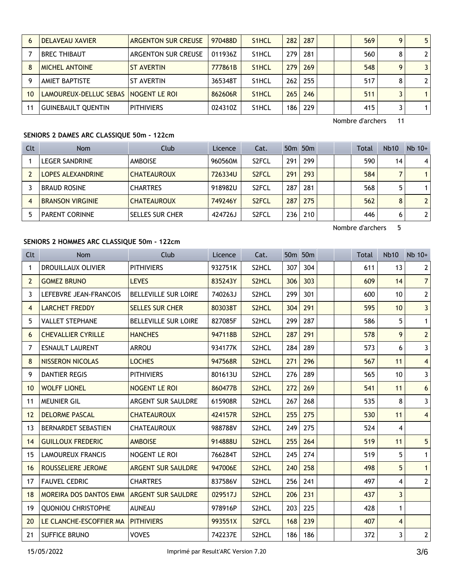|    | <b>DELAVEAU XAVIER</b>                 | <b>ARGENTON SUR CREUSE</b> | 970488D | S <sub>1</sub> HCL | 282 | 287 |  | 569 | $\Omega$ | 5 <sup>1</sup>          |
|----|----------------------------------------|----------------------------|---------|--------------------|-----|-----|--|-----|----------|-------------------------|
|    | <b>BREC THIBAUT</b>                    | ARGENTON SUR CREUSE        | 011936Z | S <sub>1</sub> HCL | 279 | 281 |  | 560 | 8        | 2 <sup>1</sup>          |
|    | <b>MICHEL ANTOINE</b>                  | <b>ST AVERTIN</b>          | 777861B | S <sub>1</sub> HCL | 279 | 269 |  | 548 | Q        | $\overline{\mathbf{3}}$ |
|    | AMIET BAPTISTE                         | <b>ST AVERTIN</b>          | 365348T | S <sub>1</sub> HCL | 262 | 255 |  | 517 | 8        | 2 <sup>1</sup>          |
| 10 | LAMOUREUX-DELLUC SEBAS   NOGENT LE ROI |                            | 862606R | S <sub>1</sub> HCL | 265 | 246 |  | 511 |          |                         |
|    | GUINEBAULT QUENTIN                     | <b>PITHIVIERS</b>          | 024310Z | S <sub>1</sub> HCL | 186 | 229 |  | 415 |          |                         |

Nombre d'archers 11

# **SENIORS 2 DAMES ARC CLASSIQUE 50m - 122cm**

| Clt | <b>Nom</b>               | Club               | Licence | Cat.               |     | 50 <sub>m</sub> 50 <sub>m</sub> |  | Total | <b>Nb10</b> | $Nb$ 10+       |
|-----|--------------------------|--------------------|---------|--------------------|-----|---------------------------------|--|-------|-------------|----------------|
|     | <b>LEGER SANDRINE</b>    | <b>AMBOISE</b>     | 960560M | S <sub>2</sub> FCL | 291 | 299                             |  | 590   | 14          | 4 <sub>1</sub> |
|     | <b>LOPES ALEXANDRINE</b> | <b>CHATEAUROUX</b> | 726334U | S <sub>2</sub> FCL | 291 | 293                             |  | 584   |             |                |
|     | <b>BRAUD ROSINE</b>      | <b>CHARTRES</b>    | 918982U | S <sub>2</sub> FCL | 287 | 281                             |  | 568   |             |                |
| 4   | <b>BRANSON VIRGINIE</b>  | <b>CHATEAUROUX</b> | 749246Y | S <sub>2</sub> FCL | 287 | 275                             |  | 562   | 8           | 2 <sup>1</sup> |
| 5   | <b>PARENT CORINNE</b>    | SELLES SUR CHER    | 424726J | S <sub>2</sub> FCL | 236 | 210                             |  | 446   | 6           | 21             |

Nombre d'archers 5

# **SENIORS 2 HOMMES ARC CLASSIQUE 50m - 122cm**

| Clt            | <b>Nom</b>                | Club                        | Licence | Cat.               | 50 <sub>m</sub> 50 <sub>m</sub> |     |  | Total | <b>Nb10</b>             | $Nb$ 10+                |
|----------------|---------------------------|-----------------------------|---------|--------------------|---------------------------------|-----|--|-------|-------------------------|-------------------------|
| 1              | DROUILLAUX OLIVIER        | <b>PITHIVIERS</b>           | 932751K | S2HCL              | 307                             | 304 |  | 611   | 13                      | 2 <sup>1</sup>          |
| $\overline{2}$ | <b>GOMEZ BRUNO</b>        | <b>LEVES</b>                | 835243Y | S <sub>2</sub> HCL | 306                             | 303 |  | 609   | 14                      | 7 <sup>1</sup>          |
| 3              | LEFEBVRE JEAN-FRANCOIS    | <b>BELLEVILLE SUR LOIRE</b> | 740263J | S2HCL              | 299                             | 301 |  | 600   | 10                      | 2                       |
| 4              | <b>LARCHET FREDDY</b>     | <b>SELLES SUR CHER</b>      | 803038T | S <sub>2</sub> HCL | 304                             | 291 |  | 595   | 10                      | 3 <sup>1</sup>          |
| 5              | <b>VALLET STEPHANE</b>    | <b>BELLEVILLE SUR LOIRE</b> | 827085F | S2HCL              | 299                             | 287 |  | 586   | 5                       | 1                       |
| 6              | <b>CHEVALLIER CYRILLE</b> | <b>HANCHES</b>              | 947118B | S2HCL              | 287                             | 291 |  | 578   | 9                       | 2                       |
| 7              | <b>ESNAULT LAURENT</b>    | ARROU                       | 934177K | S <sub>2</sub> HCL | 284                             | 289 |  | 573   | 6                       | $\overline{\mathbf{3}}$ |
| 8              | <b>NISSERON NICOLAS</b>   | <b>LOCHES</b>               | 947568R | S <sub>2</sub> HCL | 271                             | 296 |  | 567   | 11                      | $\vert$                 |
| 9              | <b>DANTIER REGIS</b>      | <b>PITHIVIERS</b>           | 801613U | S <sub>2</sub> HCL | 276                             | 289 |  | 565   | 10 <sup>°</sup>         | $\overline{\mathbf{3}}$ |
| 10             | <b>WOLFF LIONEL</b>       | NOGENT LE ROI               | 860477B | S2HCL              | 272                             | 269 |  | 541   | 11                      | 6 <sup>1</sup>          |
| 11             | <b>MEUNIER GIL</b>        | <b>ARGENT SUR SAULDRE</b>   | 615908R | S2HCL              | 267                             | 268 |  | 535   | 8                       | 3 <sup>1</sup>          |
| 12             | <b>DELORME PASCAL</b>     | <b>CHATEAUROUX</b>          | 424157R | S2HCL              | 255                             | 275 |  | 530   | 11                      | $\vert 4 \vert$         |
| 13             | BERNARDET SEBASTIEN       | <b>CHATEAUROUX</b>          | 988788V | S2HCL              | 249                             | 275 |  | 524   | 4                       |                         |
| 14             | <b>GUILLOUX FREDERIC</b>  | <b>AMBOISE</b>              | 914888U | S2HCL              | 255                             | 264 |  | 519   | 11                      | 5 <sup>1</sup>          |
| 15             | <b>LAMOUREUX FRANCIS</b>  | NOGENT LE ROI               | 766284T | S <sub>2</sub> HCL | 245                             | 274 |  | 519   | 5                       | 1                       |
| 16             | ROUSSELIERE JEROME        | <b>ARGENT SUR SAULDRE</b>   | 947006E | S2HCL              | 240                             | 258 |  | 498   | 5                       | 1                       |
| 17             | <b>FAUVEL CEDRIC</b>      | <b>CHARTRES</b>             | 837586V | S2HCL              | 256                             | 241 |  | 497   | 4                       | 2                       |
| 18             | MOREIRA DOS DANTOS EMM    | <b>ARGENT SUR SAULDRE</b>   | 029517J | S <sub>2</sub> HCL | 206                             | 231 |  | 437   | $\overline{3}$          |                         |
| 19             | <b>OUONIOU CHRISTOPHE</b> | <b>AUNEAU</b>               | 978916P | S2HCL              | 203                             | 225 |  | 428   | 1                       |                         |
| 20             | LE CLANCHE-ESCOFFIER MA   | <b>PITHIVIERS</b>           | 993551X | S <sub>2</sub> FCL | 168                             | 239 |  | 407   | $\overline{\mathbf{4}}$ |                         |
| 21             | <b>SUFFICE BRUNO</b>      | <b>VOVES</b>                | 742237E | S <sub>2</sub> HCL | 186                             | 186 |  | 372   | 3                       | $2\vert$                |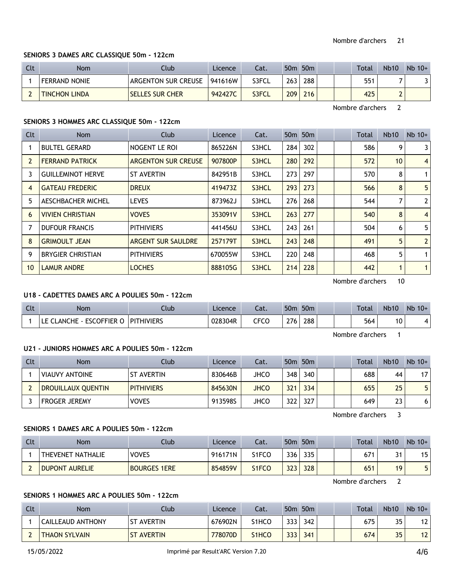#### **SENIORS 3 DAMES ARC CLASSIQUE 50m - 122cm**

| Clt | <b>Nom</b>           | Club                   | Licence | Cat.  |     | 50 <sub>m</sub> 50 <sub>m</sub> |  | Total | <b>Nb10</b> | $Nb$ 10+ |
|-----|----------------------|------------------------|---------|-------|-----|---------------------------------|--|-------|-------------|----------|
|     | <b>FERRAND NONIE</b> | ARGENTON SUR CREUSE    | 941616W | S3FCL | 263 | 288                             |  | 551   |             |          |
|     | <b>TINCHON LINDA</b> | <b>SELLES SUR CHER</b> | 942427C | S3FCL | 209 | 216                             |  | 425   |             |          |

Nombre d'archers 2

#### **SENIORS 3 HOMMES ARC CLASSIQUE 50m - 122cm**

| Clt            | <b>Nom</b>               | Club                       | Licence | Cat.  |     | 50 <sub>m</sub> 50 <sub>m</sub> |  | Total | <b>Nb10</b>     | $Nb$ 10+       |
|----------------|--------------------------|----------------------------|---------|-------|-----|---------------------------------|--|-------|-----------------|----------------|
|                | <b>BULTEL GERARD</b>     | NOGENT LE ROI              | 865226N | S3HCL | 284 | 302                             |  | 586   | 9               | 3              |
|                | <b>FERRAND PATRICK</b>   | <b>ARGENTON SUR CREUSE</b> | 907800P | S3HCL | 280 | 292                             |  | 572   | 10 <sup>°</sup> | $\vert$        |
| 3              | <b>GUILLEMINOT HERVE</b> | <b>ST AVERTIN</b>          | 842951B | S3HCL | 273 | 297                             |  | 570   | 8               |                |
| $\overline{4}$ | <b>GATEAU FREDERIC</b>   | <b>DREUX</b>               | 419473Z | S3HCL | 293 | 273                             |  | 566   | 8               | 5 <sup>1</sup> |
| 5              | AESCHBACHER MICHEL       | <b>LEVES</b>               | 873962J | S3HCL | 276 | 268                             |  | 544   | 7               | 2 <sup>1</sup> |
| 6              | <b>VIVIEN CHRISTIAN</b>  | <b>VOVES</b>               | 353091V | S3HCL | 263 | 277                             |  | 540   | 8               | 4 <sup>1</sup> |
|                | <b>DUFOUR FRANCIS</b>    | <b>PITHIVIERS</b>          | 441456U | S3HCL | 243 | 261                             |  | 504   | 6               | 5 <sup>1</sup> |
| 8              | <b>GRIMOULT JEAN</b>     | <b>ARGENT SUR SAULDRE</b>  | 257179T | S3HCL | 243 | 248                             |  | 491   | 5               | 2 <sup>1</sup> |
| 9              | <b>BRYGIER CHRISTIAN</b> | <b>PITHIVIERS</b>          | 670055W | S3HCL | 220 | 248                             |  | 468   | 5               |                |
| 10             | <b>LAMUR ANDRE</b>       | <b>LOCHES</b>              | 888105G | S3HCL | 214 | 228                             |  | 442   |                 |                |

Nombre d'archers 10

## **U18 - CADETTES DAMES ARC A POULIES 50m - 122cm**

| Clt | <b>Nom</b>                | Club       | Licence | $\sim$<br>cal. | 50 <sub>π</sub> | 50 <sub>m</sub> |  | Total | <b>Nb10</b> | $Nb$ 10+ |
|-----|---------------------------|------------|---------|----------------|-----------------|-----------------|--|-------|-------------|----------|
|     | — - ESCOFFIER ∩<br>_ANCHE | PITHIVIERS | 028304R | CFCC           | 276             | 288             |  | 564   | 10          |          |

Nombre d'archers 1

## **U21 - JUNIORS HOMMES ARC A POULIES 50m - 122cm**

| Clt | Nom                       | Club              | Licence | Cat. |     | 50 <sub>m</sub> 50 <sub>m</sub> |  | <b>Total</b> | <b>Nb10</b> | $Nb$ 10+ |
|-----|---------------------------|-------------------|---------|------|-----|---------------------------------|--|--------------|-------------|----------|
|     | VIAUVY ANTOINE            | IST AVERTIN       | 830646B | JHCO | 348 | 340                             |  | 688          | 44          | 17       |
|     | <b>DROUILLAUX QUENTIN</b> | <b>PITHIVIERS</b> | 845630N | JHCO | 321 | 334                             |  | 655          | 25          | 5        |
|     | FROGER JEREMY             | <b>VOVES</b>      | 913598S | JHCO | 322 | 327                             |  | 649          | 23          | 6        |

Nombre d'archers 3

## **SENIORS 1 DAMES ARC A POULIES 50m - 122cm**

| Clt | Nom                   | Club                | Licence | Cat.               | 50 <sub>m</sub> | 50 <sub>m</sub> |  | <b>Total</b> | <b>Nb10</b> | $Nb$ 10+ |
|-----|-----------------------|---------------------|---------|--------------------|-----------------|-----------------|--|--------------|-------------|----------|
|     | THEVENET NATHALIE     | <b>VOVES</b>        | 916171N | S1FCO              | 336             | 335             |  | 671          | 24          | 15       |
|     | <b>DUPONT AURELIE</b> | <b>BOURGES 1ERE</b> | 854859V | S <sub>1</sub> FCO | 323             | 328             |  | 651          | 19          | 5.       |

Nombre d'archers 2

## **SENIORS 1 HOMMES ARC A POULIES 50m - 122cm**

| Clt | <b>Nom</b>           | Club                        | Licence | Cat.  |     | 50 <sub>m</sub> 50 <sub>m</sub> |  | Total | <b>Nb10</b> | $Nb$ 10+ |
|-----|----------------------|-----------------------------|---------|-------|-----|---------------------------------|--|-------|-------------|----------|
|     | CAILLEAUD ANTHONY    | <b>ST AVERTIN</b>           | 676902N | S1HCO | 333 | 342                             |  | 675   | 35          | 12       |
|     | <b>THAON SYLVAIN</b> | <b>ST</b><br><b>AVERTIN</b> | 778070D | S1HCO | 333 | 341                             |  | 674   | 35          | 12       |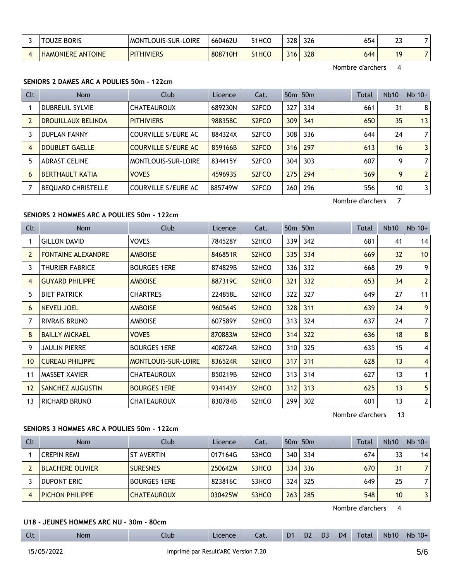| <b>BORIS</b><br>OUZE     | MONTLOUIS-SUR-LOIRE | 660462U | S1HCO | 328 | 326 |  | 654 | ີ<br>ر ے                       |  |
|--------------------------|---------------------|---------|-------|-----|-----|--|-----|--------------------------------|--|
| <b>HAMONIERE ANTOINE</b> | <b>PITHIVIERS</b>   | 808710H | S1HCO | 316 | 328 |  | 644 | 10<br>$\overline{\phantom{a}}$ |  |

Nombre d'archers 4

#### **SENIORS 2 DAMES ARC A POULIES 50m - 122cm**

| Clt | <b>Nom</b>                | Club                       | Licence | Cat.               |     | 50 <sub>m</sub> 50 <sub>m</sub> |  | Total | <b>Nb10</b> | $Nb$ 10+        |
|-----|---------------------------|----------------------------|---------|--------------------|-----|---------------------------------|--|-------|-------------|-----------------|
|     | <b>DUBREUIL SYLVIE</b>    | <b>CHATEAUROUX</b>         | 689230N | S <sub>2</sub> FCO | 327 | 334                             |  | 661   | 31          | 8               |
|     | DROUILLAUX BELINDA        | <b>PITHIVIERS</b>          | 988358C | S <sub>2</sub> FCO | 309 | 341                             |  | 650   | 35          | 13 <sup>1</sup> |
|     | <b>DUPLAN FANNY</b>       | COURVILLE S/EURE AC        | 884324X | S <sub>2</sub> FCO | 308 | 336                             |  | 644   | 24          | 71              |
| 4   | <b>DOUBLET GAELLE</b>     | <b>COURVILLE S/EURE AC</b> | 859166B | S <sub>2</sub> FCO | 316 | 297                             |  | 613   | 16          | 3 <sup>1</sup>  |
| 5   | <b>ADRAST CELINE</b>      | MONTLOUIS-SUR-LOIRE        | 834415Y | S <sub>2</sub> FCO | 304 | 303                             |  | 607   | 9           | 7               |
| 6   | <b>BERTHAULT KATIA</b>    | <b>VOVES</b>               | 459693S | S <sub>2</sub> FCO | 275 | 294                             |  | 569   | 9           | 2 <sup>1</sup>  |
|     | <b>BEOUARD CHRISTELLE</b> | COURVILLE S/EURE AC        | 885749W | S <sub>2</sub> FCO | 260 | 296                             |  | 556   | 10          | 3 <sup>1</sup>  |

Nombre d'archers 7

# **SENIORS 2 HOMMES ARC A POULIES 50m - 122cm**

| <b>Clt</b> | Nom                       | Club                | Licence | Cat.                           |     | 50 <sub>m</sub> 50 <sub>m</sub> |  | Total | <b>Nb10</b>     | $Nb$ 10+       |
|------------|---------------------------|---------------------|---------|--------------------------------|-----|---------------------------------|--|-------|-----------------|----------------|
|            | <b>GILLON DAVID</b>       | <b>VOVES</b>        | 784528Y | S2HCO                          | 339 | 342                             |  | 681   | 41              | 14             |
| 2          | <b>FONTAINE ALEXANDRE</b> | <b>AMBOISE</b>      | 846851R | S <sub>2</sub> H <sub>CO</sub> | 335 | 334                             |  | 669   | 32 <sup>2</sup> | 10             |
| 3          | <b>THURIER FABRICE</b>    | <b>BOURGES 1ERE</b> | 874829B | S2HCO                          | 336 | 332                             |  | 668   | 29              | 9 <sup>1</sup> |
| 4          | <b>GUYARD PHILIPPE</b>    | <b>AMBOISE</b>      | 887319C | S <sub>2</sub> HC <sub>O</sub> | 321 | 332                             |  | 653   | 34              | 2 <sup>1</sup> |
| 5          | <b>BIET PATRICK</b>       | <b>CHARTRES</b>     | 224858L | S2HCO                          | 322 | 327                             |  | 649   | 27              | 11             |
| 6          | NEVEU JOEL                | <b>AMBOISE</b>      | 960564S | S <sub>2</sub> H <sub>CO</sub> | 328 | 311                             |  | 639   | 24              | 9 <sup>1</sup> |
|            | <b>RIVRAIS BRUNO</b>      | AMBOISE             | 607589Y | S2HCO                          | 313 | 324                             |  | 637   | 24              | 7              |
| 8          | <b>BAILLY MICKAEL</b>     | <b>VOVES</b>        | 870883M | S <sub>2</sub> HC <sub>O</sub> | 314 | 322                             |  | 636   | 18              | 8 <sup>1</sup> |
| 9          | <b>JAULIN PIERRE</b>      | <b>BOURGES 1ERE</b> | 408724R | S2HCO                          | 310 | 325                             |  | 635   | 15              | $\vert$        |
| 10         | <b>CUREAU PHILIPPE</b>    | MONTLOUIS-SUR-LOIRE | 836524R | S <sub>2</sub> H <sub>CO</sub> | 317 | 311                             |  | 628   | 13              | 4 <sup>1</sup> |
| 11         | MASSET XAVIER             | <b>CHATEAUROUX</b>  | 850219B | S <sub>2</sub> HCO             | 313 | 314                             |  | 627   | 13              |                |
| 12         | <b>SANCHEZ AUGUSTIN</b>   | <b>BOURGES 1ERE</b> | 934143Y | S <sub>2</sub> HC <sub>O</sub> | 312 | 313                             |  | 625   | 13              | 5 <sup>1</sup> |
| 13         | <b>RICHARD BRUNO</b>      | <b>CHATEAUROUX</b>  | 830784B | S2HCO                          | 299 | 302                             |  | 601   | 13              | 2 <sup>1</sup> |

Nombre d'archers 13

## **SENIORS 3 HOMMES ARC A POULIES 50m - 122cm**

| Clt | <b>Nom</b>              | Club                | Licence | Cat.  |     | 50 <sub>m</sub> 50 <sub>m</sub> |  | <b>Total</b> | <b>Nb10</b>     | $Nb$ 10+ |
|-----|-------------------------|---------------------|---------|-------|-----|---------------------------------|--|--------------|-----------------|----------|
|     | <b>CREPIN REMI</b>      | ST AVERTIN          | 017164G | S3HCO | 340 | 334                             |  | 674          | 33              | 14       |
|     | <b>BLACHERE OLIVIER</b> | <b>SURESNES</b>     | 250642M | S3HCO | 334 | 336                             |  | 670          | 31              | 7        |
|     | <b>DUPONT ERIC</b>      | <b>BOURGES 1ERE</b> | 823816C | S3HCO | 324 | 325                             |  | 649          | 25              | 7        |
|     | <b>PICHON PHILIPPE</b>  | <b>CHATEAUROUX</b>  | 030425W | S3HCO | 263 | 285                             |  | 548          | 10 <sub>1</sub> | 31       |

Nombre d'archers 4

## **U18 - JEUNES HOMMES ARC NU - 30m - 80cm**

| Clt | <b>Nom</b> | .lub | Licence | Cat. | D <sub>1</sub> | D <sub>2</sub> | D <sub>3</sub> | D <sub>4</sub> | Total | <b>Nb10</b> | Nb 10+ |
|-----|------------|------|---------|------|----------------|----------------|----------------|----------------|-------|-------------|--------|
|     |            |      |         |      |                |                |                |                |       |             |        |